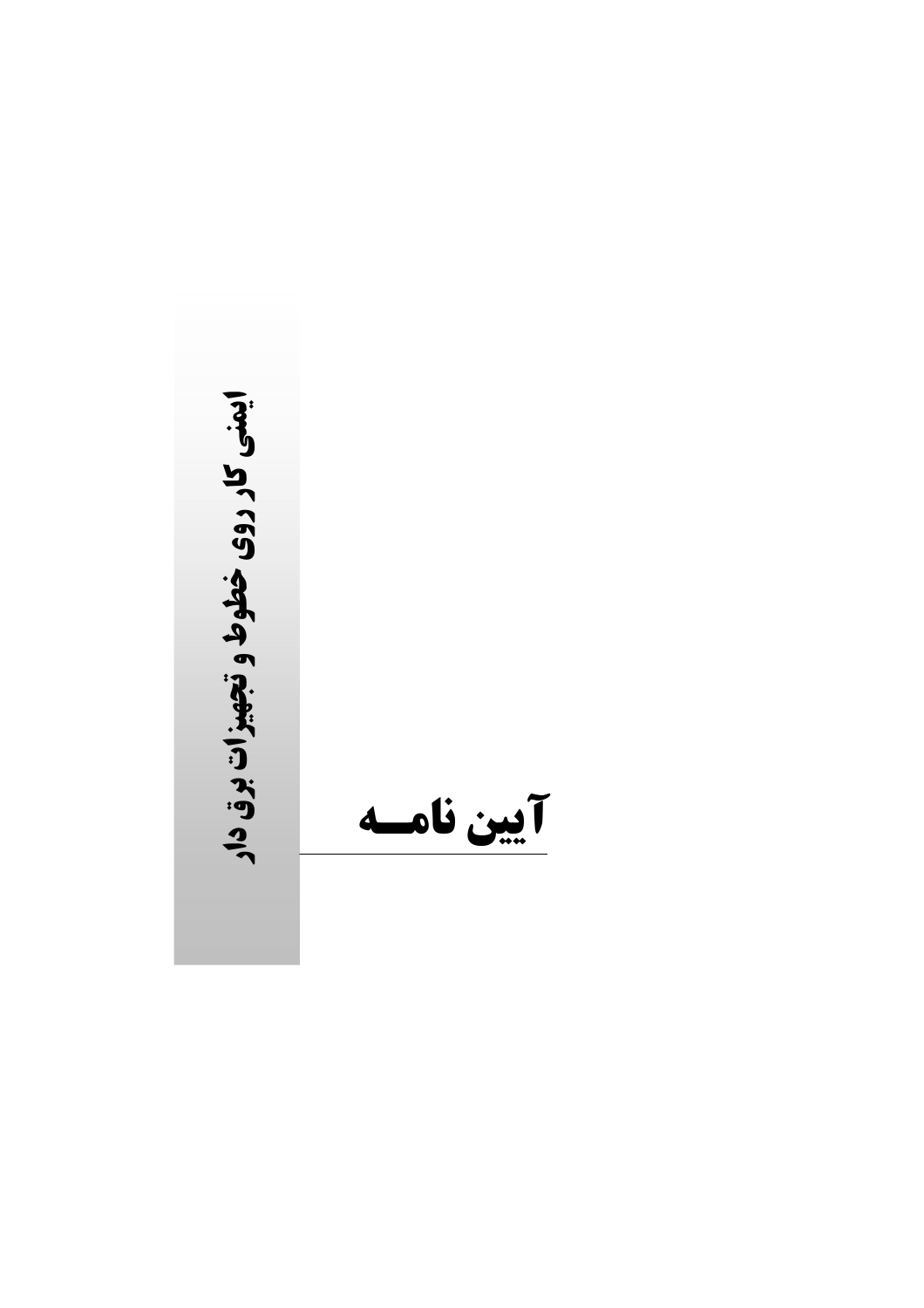ایمنی کار روی خطوط و تجهیزات برق دار آيين نامسه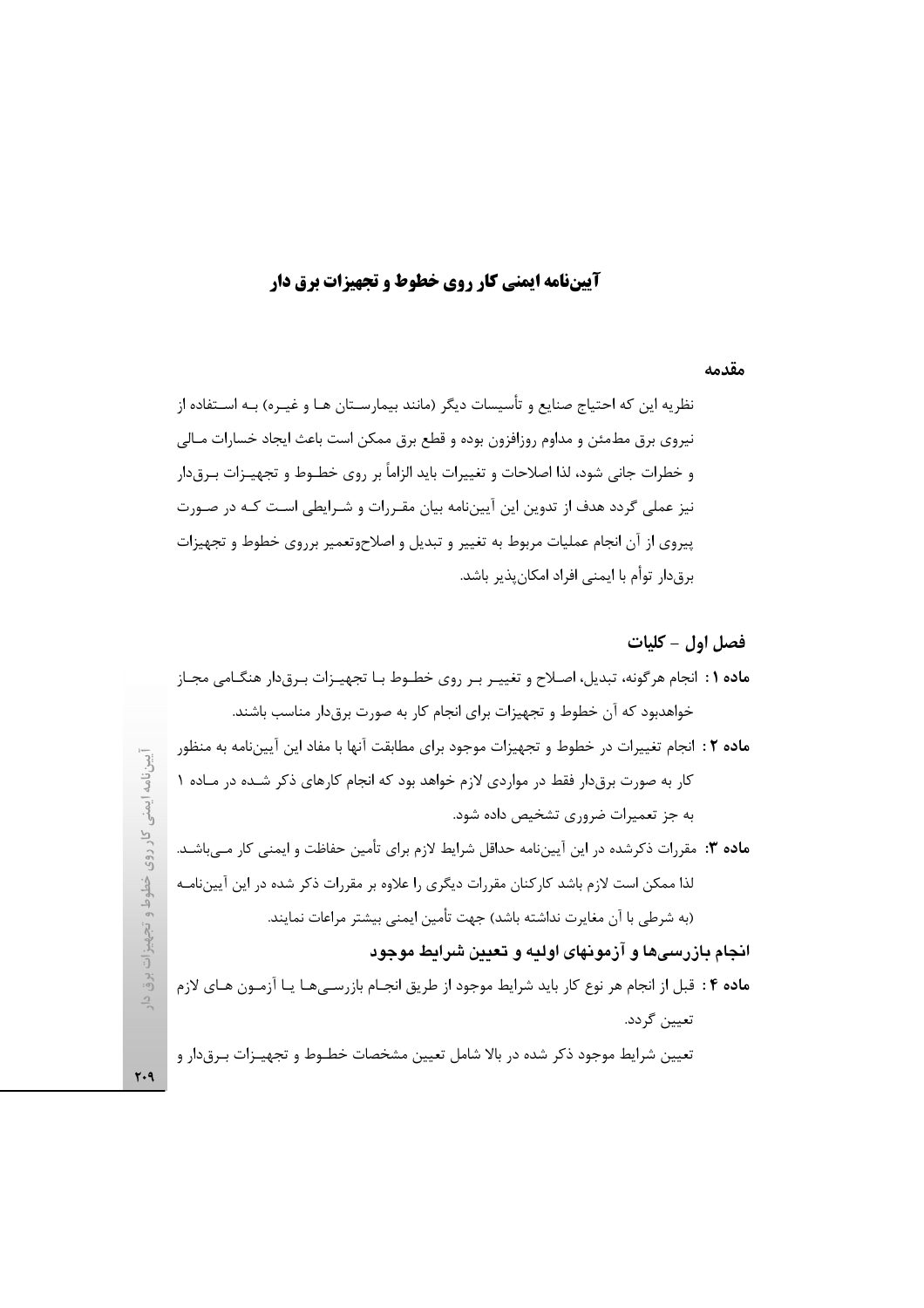# **آییننامه ایمنی کار روی خطوط و تجهیزات برق دار**

### مقدمه

نظریه این که احتیاج صنایع و تأسیسات دیگر (مانند بیمارسـتان هـا و غیـره) بـه اسـتفاده از نیروی برق مطمئن و مداوم روزافزون بوده و قطع برق ممکن است باعث ایجاد خسارات مـالی و خطرات جانی شود، لذا اصلاحات و تغییرات باید الزاماً بر روی خطــوط و تجهیــزات بــرق۱دار نیز عملی گردد هدف از تدوین این آییننامه بیان مقـررات و شـرایطی اسـت کـه در صـورت پیروی از آن انجام عملیات مربوط به تغییر و تبدیل و اصلاحوتعمیر برروی خطوط و تجهیزات برقدار توأم با ايمني افراد امكان پذير باشد.

# فصل اول - كليات

| م <b>اده ۱</b> : انجام هرگونه، تبدیل، اصـلاح و تغییـر بـر روی خطـوط بـا تجهیـزات بـرقدار هنگـامی مجـاز   |
|----------------------------------------------------------------------------------------------------------|
| خواهدبود که آن خطوط و تجهیزات برای انجام کار به صورت برقدار مناسب باشند.                                 |
| م <b>اده ۲</b> : انجام تغییرات در خطوط و تجهیزات موجود برای مطابقت آنها با مفاد این آییننامه به منظور    |
| کار به صورت برقدار فقط در مواردی لازم خواهد بود که انجام کارهای ذکر شـده در مـاده ۱                      |
| به جز تعمیرات ضروری تشخیص داده شود.                                                                      |
| <b>ماده ۳:</b> مقررات ذکرشده در این آییننامه حداقل شرایط لازم برای تأمین حفاظت و ایمنی کار مـیباشـد.     |
| لذا ممکن است لازم باشد کارکنان مقررات دیگری را علاوه بر مقررات ذکر شده در این آییننامـه                  |
| (به شرطی با آن مغایرت نداشته باشد) جهت تأمین ایمنی بیشتر مراعات نمایند.                                  |
| انجام بازرسیها و آزمونهای اولیه و تعیین شرایط موجود                                                      |
| م <b>اده ۴</b> : قبل از انجام هر نوع کار باید شرایط موجود از طریق انجـام بازرسـیهـا یـا آزمـون هـای لازم |
| تعيين گردد.                                                                                              |
| تعيين شرايط موجود ذكر شده در بالا شامل تعيين مشخصات خطـوط و تجهيـزات بـرقدار و                           |
|                                                                                                          |

 $Y - 9$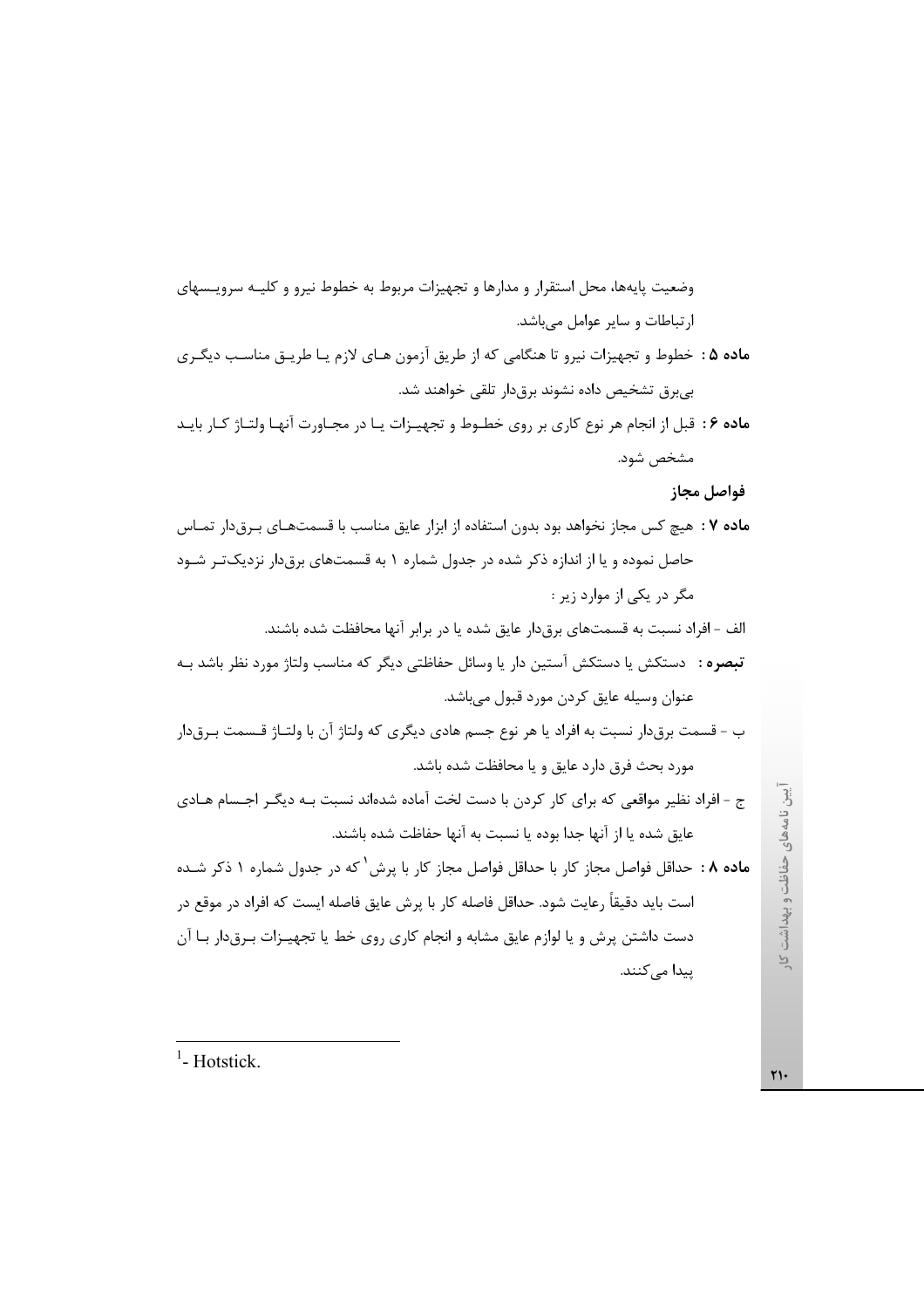وضعیت پایهها، محل استقرار و مدارها و تجهیزات مربوط به خطوط نیرو و کلیـه سرویـسهای ارتباطات و سایر عوامل میباشد. ماده ۵ : خطوط و تجهیزات نیرو تا هنگامی که از طریق آزمون هـای لازم یـا طریـق مناسـب دیگـری بی برق تشخیص داده نشوند برق دار تلقی خواهند شد. ماده ۶: قبل از انجام هر نوع کاری بر روی خطـوط و تجهیـزات یـا در مجـاورت آنهـا ولتـاژ کـار بایـد مشخص شود. فواصل مجاز م**اده ۷** : هیچ کس مجاز نخواهد بود بدون استفاده از ابزار عایق مناسب با قسمتهـای بـرق۱دار تمـاس حاصل نموده و یا از اندازه ذکر شده در جدول شماره ۱ به قسمتهای برق دار نزدیک تـر شـود مگر در یکی از موارد زیر : الف – افراد نسبت به قسمتهای برق۱در عایق شده یا در برابر آنها محافظت شده باشند. **تبصره** : دستکش یا دستکش آستین دار یا وسائل حفاظتی دیگر که مناسب ولتاژ مورد نظر باشد بـه عنوان وسيله عايق كردن مورد قبول ميباشد. ب – قسمت برق،دار نسبت به افراد یا هر نوع جسم هادی دیگری که ولتاژ آن با ولتـاژ قــسمت بـرق،دار مورد بحث فرق دارد عايق و يا محافظت شده باشد. ج - افراد نظیر مواقعی که برای کار کردن با دست لخت آماده شدهاند نسبت بـه دیگـر اجـسام هـادی عايق شده يا از آنها جدا بوده يا نسبت به آنها حفاظت شده باشند. ماده ۸ : حداقل فواصل مجاز کار با حداقل فواصل مجاز کار با پرش<sup>۱</sup> که در جدول شماره ۱ ذکر شـده است باید دقیقاً رعایت شود. حداقل فاصله کار با پرش عایق فاصله ایست که افراد در موقع در دست داشتن پرش و یا لوازم عایق مشابه و انجام کاری روی خط یا تجهیـزات بـرقدار بـا آن ییدا مے کنند.

 $<sup>1</sup>$ -Hotstick.</sup>

 $\Upsilon$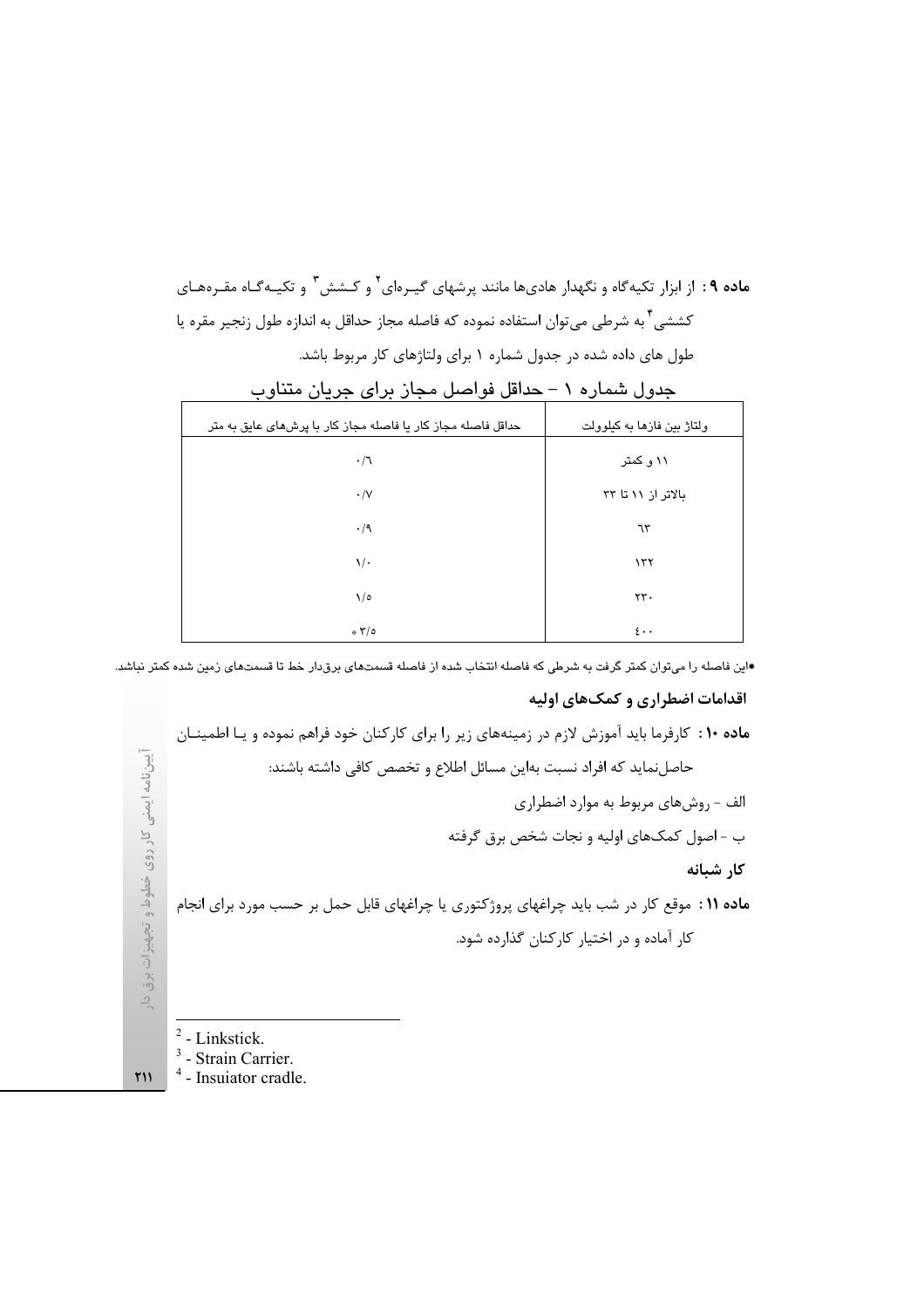ماده ۹ : از ابزار تکیهگاه و نگهدار هادیها مانند پرشهای گیـرهای<sup>۲</sup> و کـشش<sup>۳</sup> و تکیـهگـاه مقـرههـای کششی ٌ به شرطی می¤وان استفاده نموده که فاصله مجاز حداقل به اندازه طول زنجیر مقره یا طول های داده شده در جدول شماره ۱ برای ولتاژهای کار مربوط باشد.

| $\cdot$ $\sim$<br>0.0. 00. 0.<br>ັ<br><u>J</u>                | $\checkmark$<br>◡          |
|---------------------------------------------------------------|----------------------------|
| حداقل فاصله مجاز کار یا فاصله مجاز کار با پرش های عایق به متر | ولتاژ بین فازها به کیلوولت |
| $\cdot/$                                                      | ۱۱ و کمتر                  |
| $\cdot/\vee$                                                  | بالاتر از ۱۱ تا ۳۳         |
| $\cdot/9$                                                     | ٦٣                         |
| $\sqrt{\cdot}$                                                | 157                        |
| $\sqrt{\circ}$                                                | $\tau\tau$ .               |
| $\sqrt{70}$                                                   | $\mathfrak{c} \cdot \cdot$ |

حدول شمار ه ١ – حداقل فواصل محان برای حربان متناوب

.<br>\*این فاصله را میتوان کمتر گرفت به شرطی که فاصله انتخاب شده از فاصله قسمتهای برقدار خط تا قسمتهای زمین شده کمتر نباشد.

### اقدامات اضطراري و كمك هاي اوليه

ماده ۱۰ : کارفرما باید آموزش لازم در زمینههای زیر را برای کارکنان خود فراهم نموده و یـا اطمینــان آییننامه ایمنی کار روی خطوط و تجهیزات برق دار حاصلنمايد كه افراد نسبت بهاين مسائل اطلاع و تخصص كافي داشته باشند: الف - روشهای مربوط به موارد اضطراری ب - اصول کمکهای اولیه و نجات شخص برق گرفته كار شبانه ماده ۱۱ : موقع کار در شب باید چراغهای پروژکتوری یا چراغهای قابل حمل بر حسب مورد برای انجام کار آماده و در اختیار کارکنان گذارده شود.  $2$  - Linkstick.  $3$  - Strain Carrier.

 $4$  - Insuiator cradle.

 $Y11$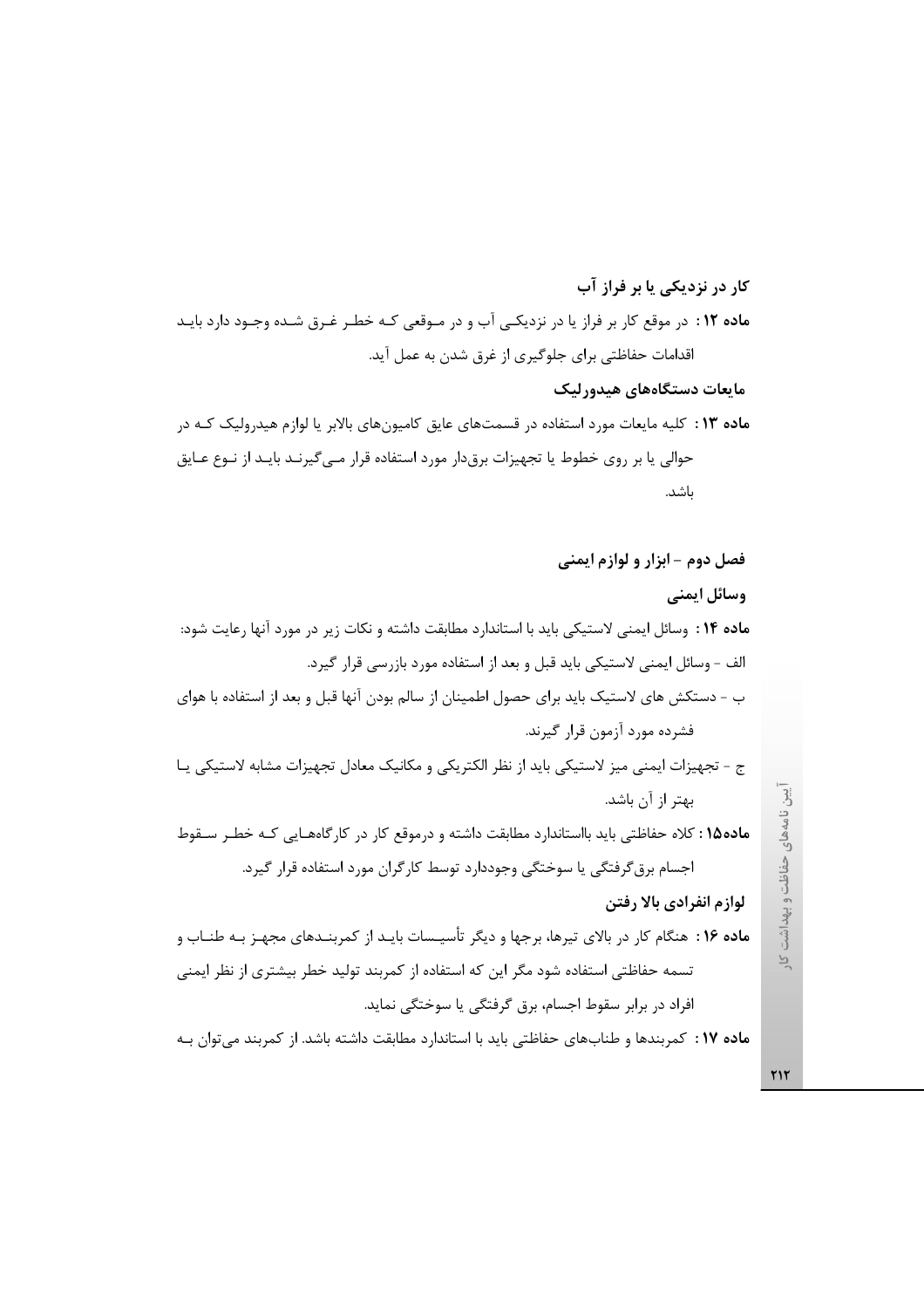ماده ۱۲ : در موقع کار بر فراز یا در نزدیکی آب و در مـوقعی کـه خطـر غـرق شـده وجـود دارد بایـد اقدامات حفاظتی برای جلوگیری از غرق شدن به عمل آید. مايعات دستگاههای هيدورليک

کار در نزدیکی یا بر فراز آب

م**اده ۱۳** : کلیه مایعات مورد استفاده در قسمتهای عایق کامیونهای بالابر یا لوازم هیدرولیک کـه در حوالی یا بر روی خطوط یا تجهیزات برقدار مورد استفاده قرار مـی¢یرنـد بایـد از نــوع عــایق ىاشد.

فصل دوم - ابزار و لوازم ايمني وسائل ايمني ماده ۱۴ : وسائل ايمني لاستيكي بايد با استاندارد مطابقت داشته و نكات زير در مورد آنها رعايت شود: الف - وسائل ایمنی لاستیکی باید قبل و بعد از استفاده مورد بازرسی قرار گیرد. ب – دستکش های لاستیک باید برای حصول اطمینان از سالم بودن آنها قبل و بعد از استفاده با هوای فشرده مورد آزمون قرار گیرند. ج - تجهیزات ایمنی میز لاستیکی باید از نظر الکتریکی و مکانیک معادل تجهیزات مشابه لاستیکی پـا بهتر از آن باشد. ماده1۵ : كلاه حفاظتي بايد بااستاندارد مطابقت داشته و درموقع كار در كارگاههـايي كـه خطـر سـقوط اجسام برق گرفتگی یا سوختگی وجوددارد توسط کارگران مورد استفاده قرار گیرد. لوازم انفرادي بالا رفتن ماده ۱۶ : هنگام کار در بالای تیرها، برجها و دیگر تأسیـسات بایـد از کمربنـدهای مجهـز بـه طنـاب و تسمه حفاظتی استفاده شود مگر این که استفاده از کمربند تولید خطر بیشتری از نظر ایمنی افراد در برابر سقوط اجسام، برق گرفتگی یا سوختگی نماید.

ماده ۱۷: کمربندها و طنابهای حفاظتی باید با استاندارد مطابقت داشته باشد. از کمربند می توان بـه

آیین نامههای حفاظت و پهداشت کار

٢١٢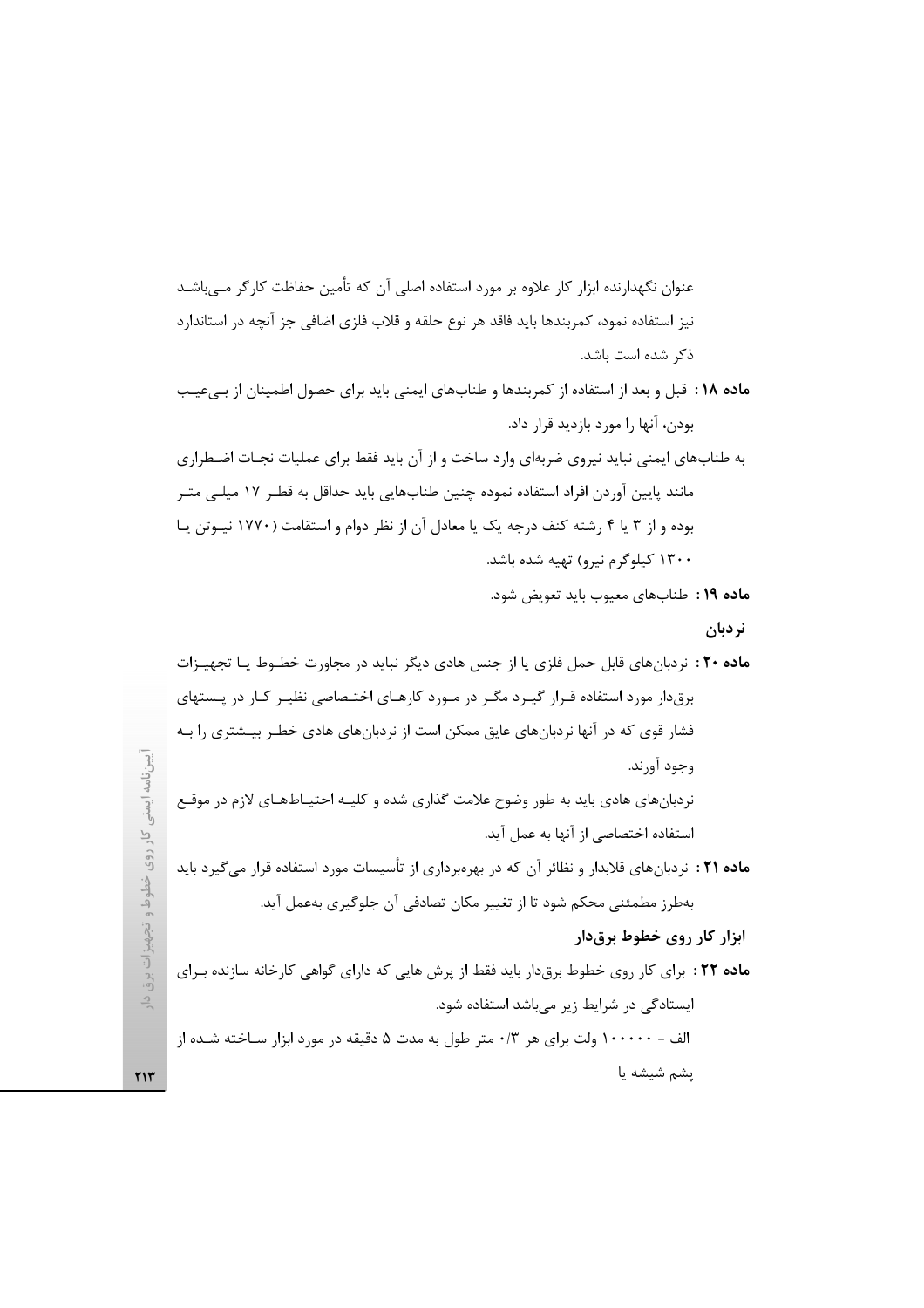عنوان نگهدارنده ابزار کار علاوه بر مورد استفاده اصلی آن که تأمین حفاظت کارگر مے،باشـد نیز استفاده نمود، کمربندها باید فاقد هر نوع حلقه و قلاب فلزی اضافی جز آنچه در استاندارد ذكر شده است باشد.

- ماده ١٨: قبل و بعد از استفاده از كمربندها و طنابهاى ايمنى بايد براى حصول اطمينان از بىءيب بودن، آنها را مورد بازديد قرار داد.
- به طنابهای ایمنی نباید نیروی ضربهای وارد ساخت و از آن باید فقط برای عملیات نجـات اضـطراری مانند پایین آوردن افراد استفاده نموده چنین طنابهایی باید حداقل به قطـر ١٧ میلـی متـر بوده و از ۳ یا ۴ رشته کنف درجه یک یا معادل آن از نظر دوام و استقامت (۱۷۷۰ نیـوتن یـا ۱۳۰۰ کیلوگرم نیرو) تهیه شده باشد.
	- ماده ١٩: طنابهاي معيوب بايد تعويض شود.

نردبان

الف - ۱۰۰۰۰۰ ولت براي هر ۰/۳ متر طول به مدت ۵ دقيقه در مورد ابزار سـاخته شـده از پشم شيشه يا

 $YY$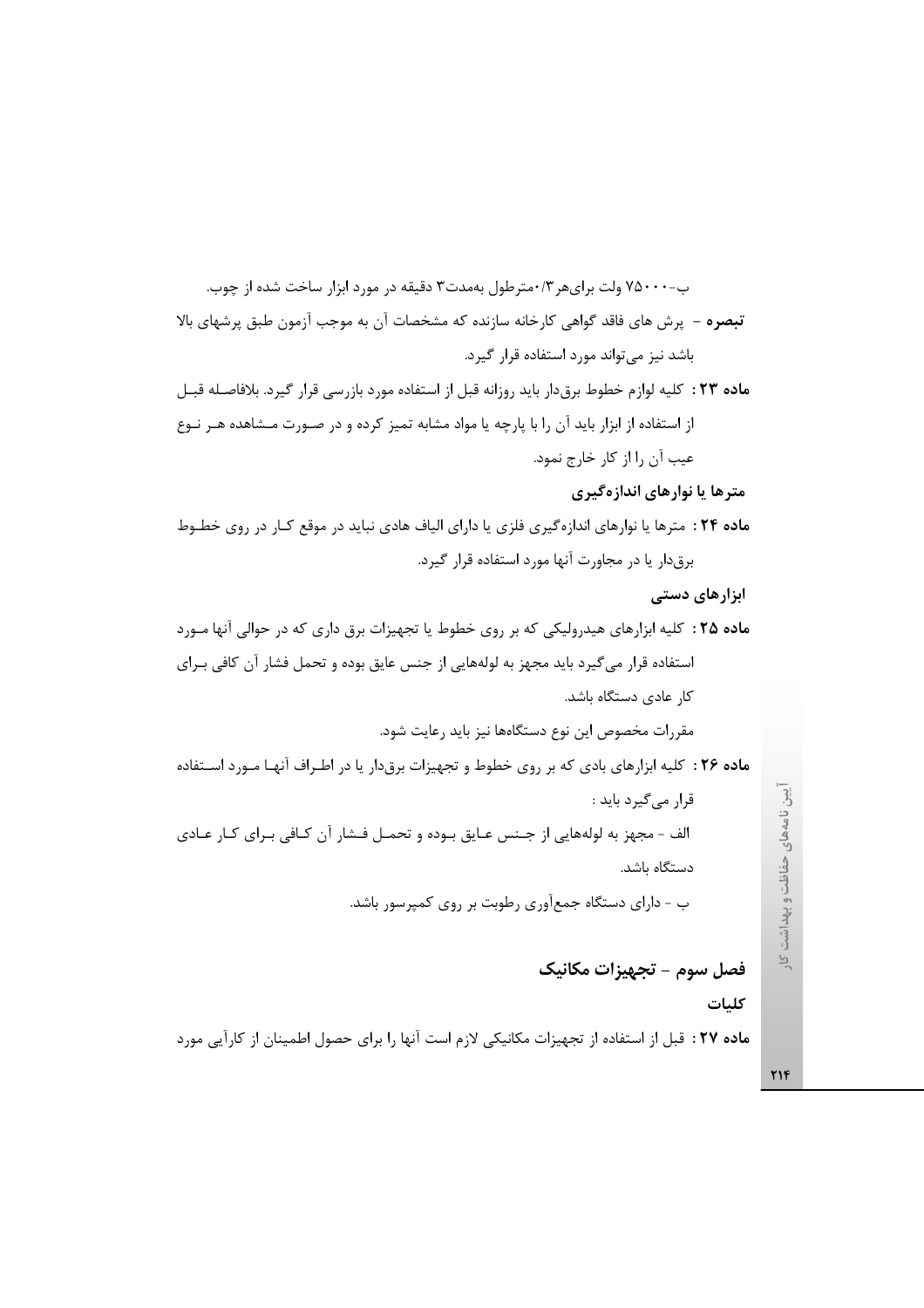ب-۷۵۰۰۰ ولت برایهر ۰/۳مترطول بهمدت۳ دقیقه در مورد ابزار ساخت شده از چوب. تبصره – پرش های فاقد گواهی کارخانه سازنده که مشخصات آن به موجب آزمون طبق پرشهای بالا باشد نیز می تواند مورد استفاده قرار گیرد. ماده ٢٣ : كليه لوازم خطوط برق دار بايد روزانه قبل از استفاده مورد بازرسي قرار گيرد. بلافاصله قبـل از استفاده از ابزار باید آن را با پارچه یا مواد مشابه تمیز کرده و در صـورت مـشاهده هـر نـوع عيب آن ,ا از كار خارج نمود. مترها یا نوارهای اندازهگیری ماده ٢۴ : مترها يا نوارهاى اندازهگيرى فلزى يا داراى الياف هادى نبايد در موقع كـار در روى خطـوط برق دار یا در مجاورت آنها مورد استفاده قرار گیرد. ابزارهای دستی ماده ۲۵ : کلیه ابزارهای هیدرولیکی که بر روی خطوط یا تجهیزات برق داری که در حوالی آنها مـورد استفاده قرار می گیرد باید مجهز به لولههایی از جنس عایق بوده و تحمل فشار آن کافی بـرای کار عادی دستگاه باشد. مقررات مخصوص این نوع دستگاهها نیز باید رعایت شود. ماده ۲۶ : کلیه ابزارهای بادی که بر روی خطوط و تجهیزات برقدار یا در اطـراف آنهـا مـورد اسـتفاده قرار می گیرد باید : الف - مجهز به لولههايي از جنس عـايق بـوده و تحمـل فـشار آن كـافي بـراي كـار عـادي دستگاه باشد. ب - دارای دستگاه جمعآوری رطوبت بر روی کمپرسور باشد.

فصل سوم - تجهيزات مكانيك

كليات

ماده ٢٧ : قبل از استفاده از تجهیزات مكانیكی لازم است آنها را برای حصول اطمینان از كارآیی مورد

**٢١۴** 

 $\overline{P}$ 

آيين نامههاي حفاظت و پهداشت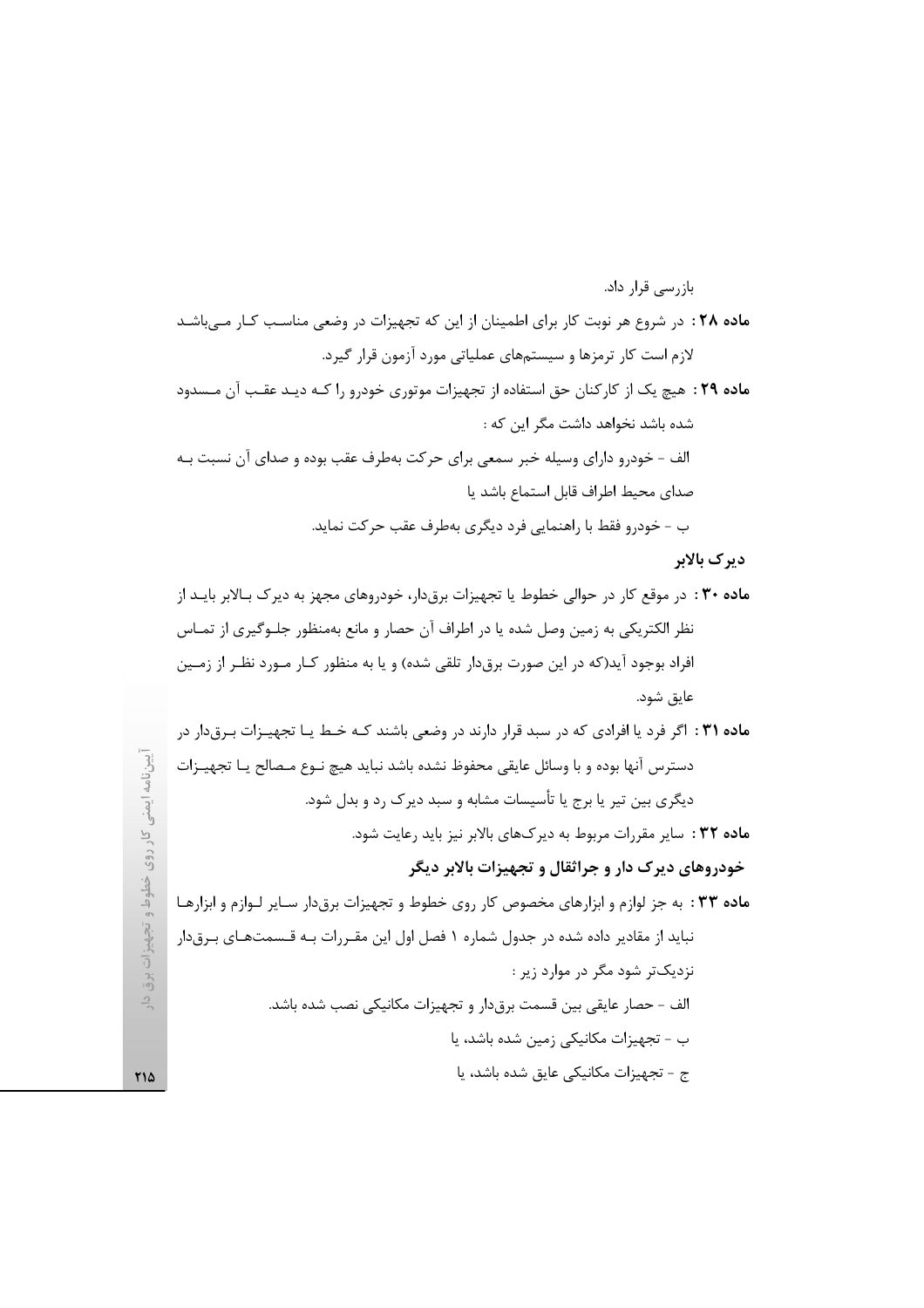ديرک بالابر

# خودروهای دیرک دار و جراثقال و تجهیزات بالابر دیگر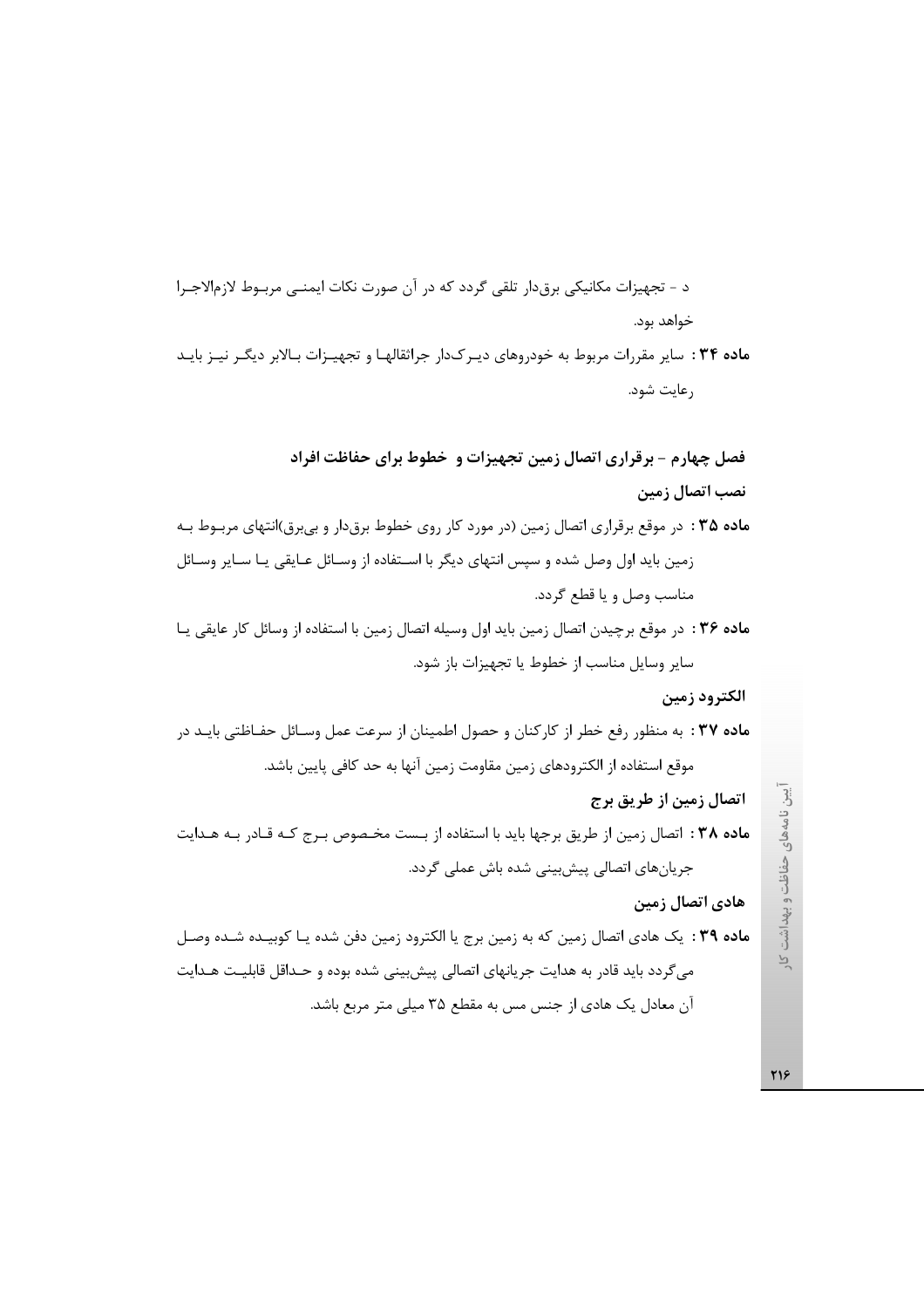د - تجهيزات مكانيكي برقدار تلقى گردد كه در آن صورت نكات ايمنـي مربـوط لازم|لاجـرا خواهد بود. ماده ۳۴ : سایر مقررات مربوط به خودروهای دیـر ک1دار جراثقالهـا و تجهیـزات بـالابر دیگـر نیـز بایـد رعايت شود.

فصل چهارم - برقراری اتصال زمین تجهیزات و خطوط برای حفاظت افراد نصب اتصال زمین م**اده ۳۵** : در موقع برقراری اتصال زمین (در مورد کار روی خطوط برقدار و بیبرق)انتهای مربـوط بـه زمین باید اول وصل شده و سپس انتهای دیگر با اسـتفاده از وسـائل عـایقی یـا سـایر وسـائل مناسب وصل و يا قطع گردد.

ماده ۳۶ : در موقع برچیدن اتصال زمین باید اول وسیله اتصال زمین با استفاده از وسائل کار عایقی یـا سایر وسایل مناسب از خطوط یا تجهیزات باز شود.

الكترود زمين

ماده ۳۷ : به منظور رفع خطر از کارکنان و حصول اطمینان از سرعت عمل وسـائل حفـاظتی بایـد در موقع استفاده از الكترودهاي زمين مقاومت زمين آنها به حد كافي پايين باشد.

اتصال زمین از طریق برج

ماده ٣٨ : اتصال زمين از طريق برجها بايد با استفاده از بـست مخـصوص بـرج كـه قـادر بـه هـدايت جریانهای اتصالی پیشبینی شده باش عملی گردد.

#### هادی اتصال زمین

**ماده ۳۹ :** یک هادی اتصال زمین که به زمین برج یا الکترود زمین دفن شده یـا کوبیـده شـده وصـل می گردد باید قادر به هدایت جریانهای اتصالی پیشبینی شده بوده و حـداقل قابلیـت هـدایت آن معادل یک هادی از جنس مس به مقطع ۳۵ میلی متر مربع باشد.

آیین نامههای حفاظت و پهداشت کار

718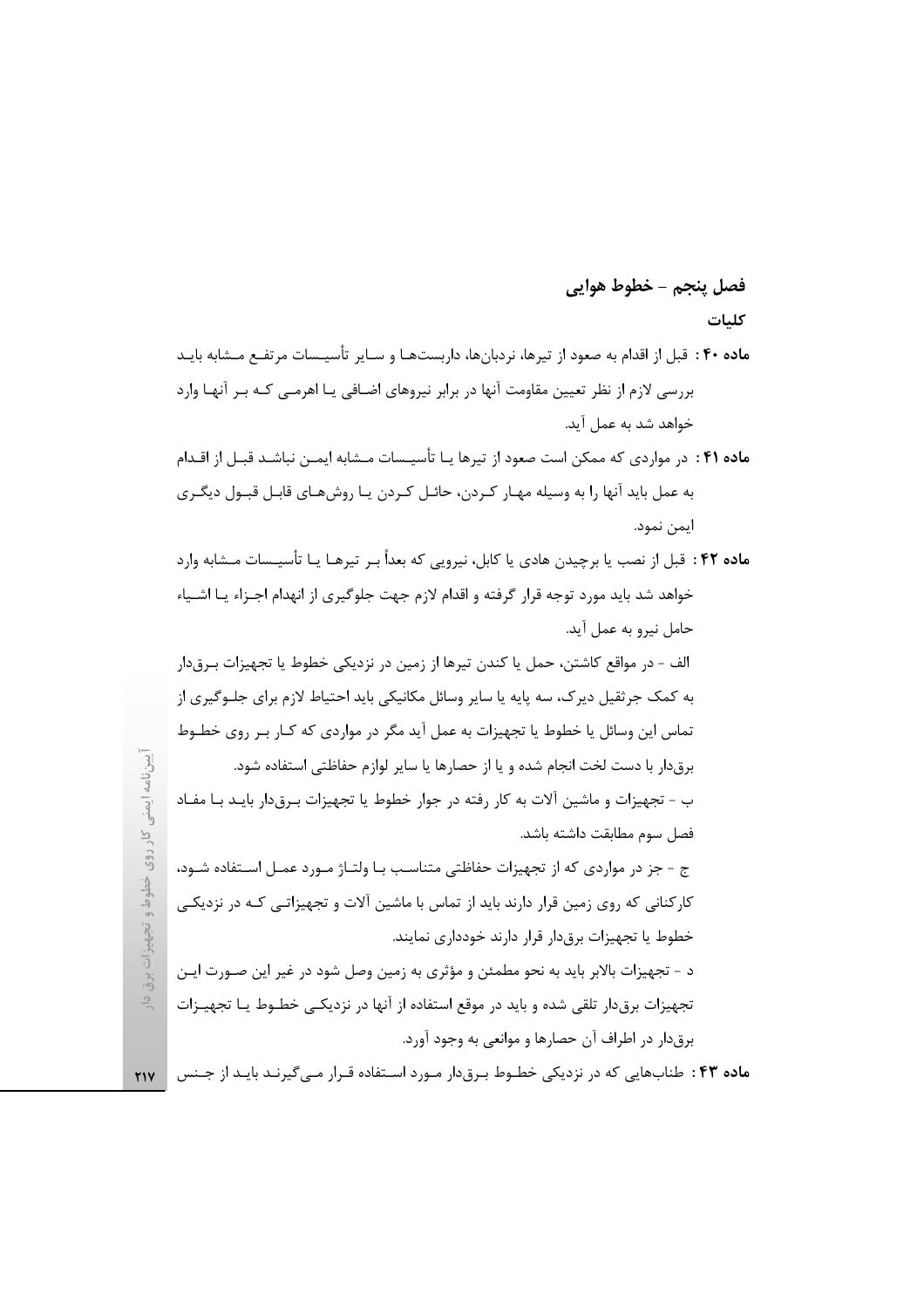## فصل ينجم – خطوط هوايي

## كلبات

- ماده ۴۰ : قبل از اقدام به صعود از تیرها، نردبانها، داربستهـا و سـایر تأسیـسات مرتفـع مـشابه بایـد بررسی لازم از نظر تعیین مقاومت آنها در برابر نیروهای اضـافی یـا اهرمـی کـه بـر آنهـا وارد خواهد شد به عمل آید.
- **ماده ۴۱**: در مواردی که ممکن است صعود از تیرها یـا تأسیــسات مــشابه ایمــن نباشـد قبــل از اقــدام به عمل باید آنها را به وسیله مهـار کـردن، حائـل کـردن یـا روشهـای قابـل قبـول دیگـری ايمن نمود.
- **ماده ۴۲** : قبل از نصب یا برچیدن هادی یا کابل، نیرویی که بعداً بـر تیرهـا یـا تأسیـسات مـشابه وارد خواهد شد باید مورد توجه قرار گرفته و اقدام لازم جهت جلوگیری از انهدام اجـزاء یـا اشـیاء حامل نيرو به عمل آيد.

الف - در مواقع كاشتن، حمل يا كندن تيرها از زمين در نزديكي خطوط يا تجهيزات بـرق‹ار به کمک جرثقیل دیرک، سه پایه یا سایر وسائل مکانیکی باید احتیاط لازم برای جلـوگیری از تماس این وسائل یا خطوط یا تجهیزات به عمل آید مگر در مواردی که کــار بــر روی خطــوط برق دار با دست لخت انجام شده و یا از حصارها یا سایر لوازم حفاظتی استفاده شود. ب - تجهیزات و ماشین آلات به کار رفته در جوار خطوط یا تجهیزات بـرق۱دار بایـد بـا مفـاد

فصل سوم مطابقت داشته باشد. ج - جز در مواردی که از تجهیزات حفاظتی متناسب بـا ولتـاژ مـورد عمـل اسـتفاده شـود،

کارکنانی که روی زمین قرار دارند باید از تماس با ماشین آلات و تجهیزاتـی کـه در نزدیکـی خطوط یا تجهیزات برق دار قرار دارند خودداری نمایند.

د - تجهیزات بالابر باید به نحو مطمئن و مؤثری به زمین وصل شود در غیر این صـورت ایـن تجهیزات برقدار تلقی شده و باید در موقع استفاده از آنها در نزدیکـی خطـوط یـا تجهیـزات برقدار در اطراف آن حصارها و موانعي به وجود آورد.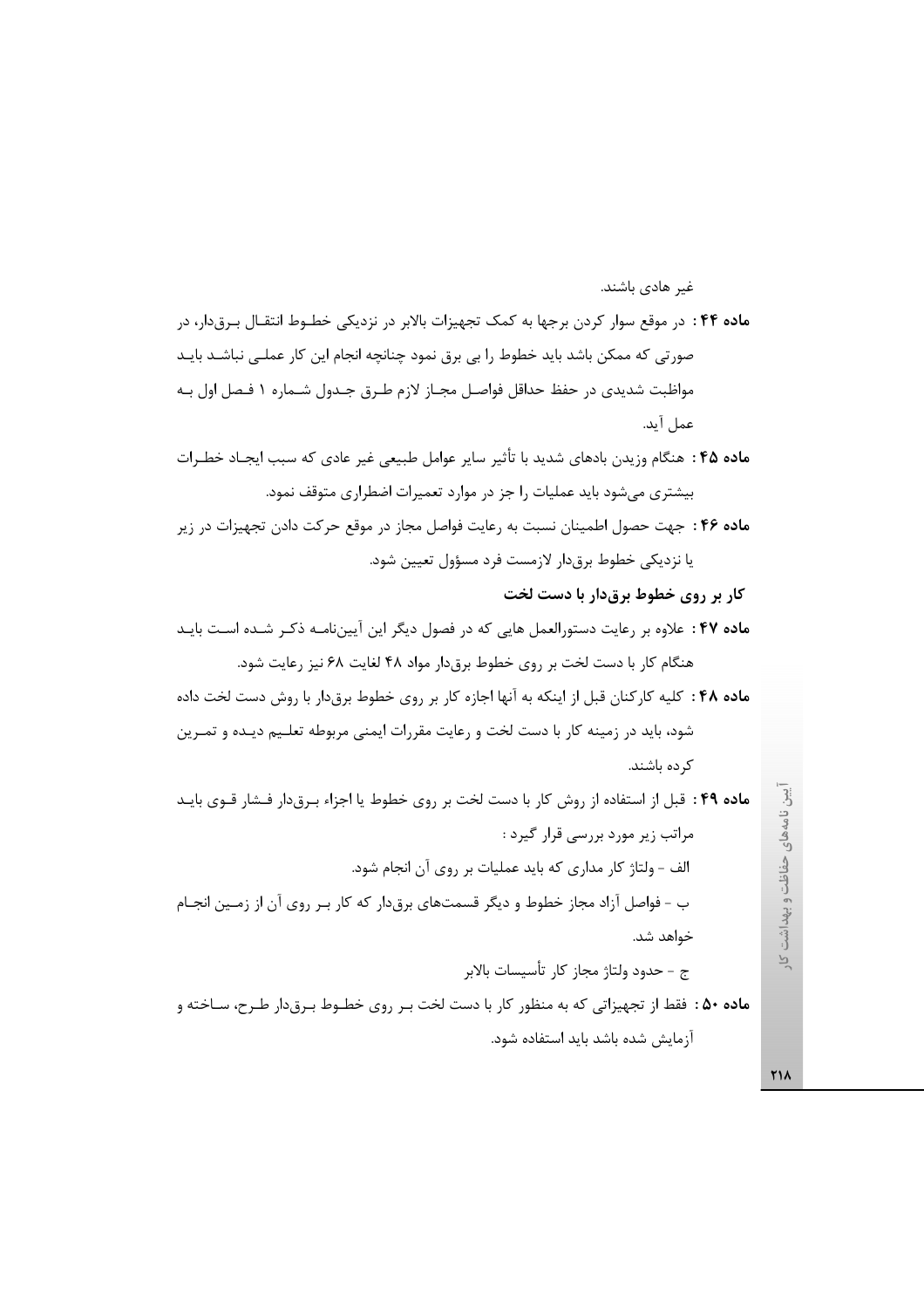ماده ۴۴ : در موقع سوار کردن برجها به کمک تجهیزات بالابر در نزدیکی خطـوط انتقـال بـرقدار، در صورتی که ممکن باشد باید خطوط را بی برق نمود چنانچه انجام این کار عملـی نباشـد بایـد مواظبت شدیدی در حفظ حداقل فواصـل مجـاز لازم طـرق جـدول شـماره ١ فـصل اول بـه عمل آيد.

م**اده ۴۵** : هنگام وزیدن بادهای شدید با تأثیر سایر عوامل طبیعی غیر عادی که سبب ایجـاد خطـرات بیشتری میشود باید عملیات را جز در موارد تعمیرات اضطراری متوقف نمود.

ماده ۴۶ : جهت حصول اطمينان نسبت به رعايت فواصل مجاز در موقع حركت دادن تجهيزات در زير يا نزديكي خطوط برقدار لازمست فرد مسؤول تعيين شود.

کار بر روی خطوط برقدار با دست لخت

غیر هادی باشند.

ماده ۴۷ : علاوه بر رعایت دستورالعمل هایی که در فصول دیگر این آییننامـه ذکـر شـده اسـت بایـد هنگام کار با دست لخت بر روی خطوط برق دار مواد ۴۸ لغایت ۶۸ نیز رعایت شود.

ماده ۴۸: كليه كاركنان قبل از اينكه به آنها اجازه كار بر روى خطوط برق دار با روش دست لخت داده شود، باید در زمینه کار با دست لخت و رعایت مقررات ایمنی مربوطه تعلـیم دیـده و تمـرین کر ده باشند.

ماده ۴۹ : قبل از استفاده از روش كار با دست لخت بر روى خطوط يا اجزاء بـرقدار فـشار قـوى بايـد مراتب زیر مورد بررسی قرار گیرد : الف - ولتاژ کار مداری که باید عملیات بر روی آن انجام شود. ب - فواصل أزاد مجاز خطوط و ديگر قسمتهاي برقدار كه كار بـر روى أن از زمـين انجـام خواهد شد. ج - حدود ولتاژ مجاز كار تأسيسات بالابر ماده ۵۰ : فقط از تجهیزاتی که به منظور کار با دست لخت بـر روی خطـوط بـرق۱دار طـرح، سـاخته و

آزمایش شده باشد باید استفاده شود.

ِّيين نامههای حفاظت و بهداشت  $\overline{P}$ 

**٢١٨**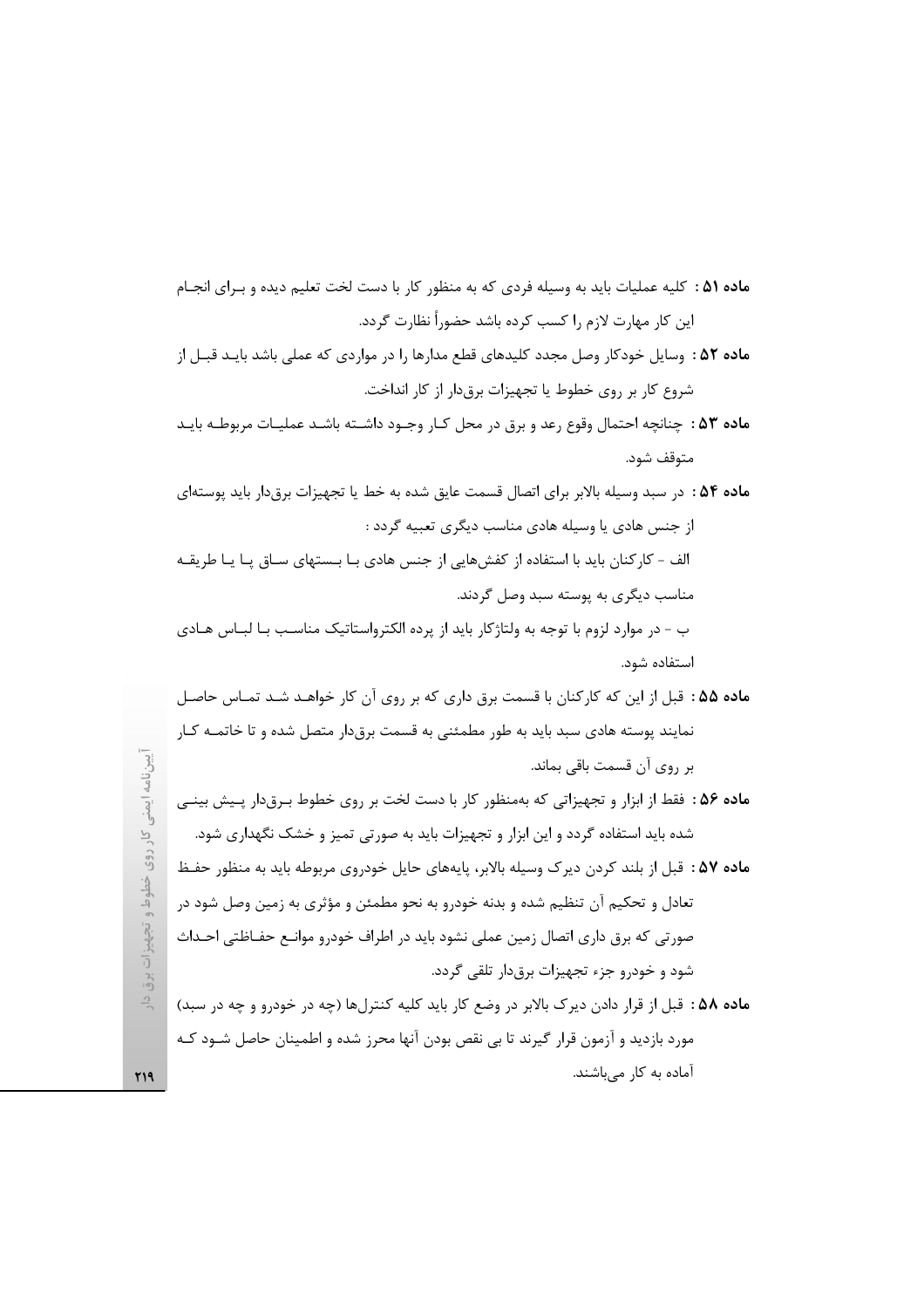ماده ۵۱ : کلیه عملیات باید به وسیله فردی که به منظور کار با دست لخت تعلیم دیده و بـرای انجـام این کار مهارت لازم را کسب کرده باشد حضو,اً نظارت گردد.

- ماده ۵۲ : وسایل خودکار وصل مجدد کلیدهای قطع مدارها را در مواردی که عملی باشد بایـد قبـل از شروع كار بر روى خطوط يا تجهيزات برقدار از كار انداخت.
- ماده ۵۳ : چنانچه احتمال وقوع رعد و برق در محل كـار وجـود داشـته باشـد عمليـات مربوطـه بايـد متوقف شود.
- م**اده ۵۴** : در سبد وسیله بالابر برای اتصال قسمت عایق شده به خط یا تجهیزات برقدار باید پوستهای از جنس هادی یا وسیله هادی مناسب دیگری تعبیه گردد : الف - کارکنان باید با استفاده از کفشهایی از جنس هادی بـا بـستهای سـاق پـا یـا طریقـه مناسب دیگری به پوسته سبد وصل گردند. ب - در موارد لزوم با توجه به ولتاژكار بايد از پرده الكترواستاتيك مناسب بـا لبــاس هــادي استفاده شود.
- ماده ۵۵ : قبل از این که کارکنان با قسمت برق داری که بر روی آن کار خواهـد شـد تمـاس حاصـل نمایند پوسته هادی سبد باید به طور مطمئنی به قسمت برق0ار متصل شده و تا خاتمــه کــار بر روی آن قسمت باقی بماند.
- ماده ۵۶ : فقط از ابزار و تجهیزاتی که بهمنظور کار با دست لخت بر روی خطوط بـرقدار پـیش بینـی شده باید استفاده گردد و این ابزار و تجهیزات باید به صورتی تمیز و خشک نگهداری شود.
- **ماده ۵۷ :** قبل از بلند کردن دیرک وسیله بالابر، پایههای حایل خودروی مربوطه باید به منظور حفـظ تعادل و تحکیم آن تنظیم شده و بدنه خودرو به نحو مطمئن و مؤثری به زمین وصل شود در صورتی که برق داری اتصال زمین عملی نشود باید در اطراف خودرو موانـع حفــاظتی احــداث شود و خودرو جزء تجهیزات برق دار تلقی گردد.
- ماده ۵۸ : قبل از قرار دادن دیرک بالابر در وضع کار باید کلیه کنترلها (چه در خودرو و چه در سبد) مورد بازدید و آزمون قرار گیرند تا بی نقص بودن آنها محرز شده و اطمینان حاصل شــود کــه آماده به کار میباشند.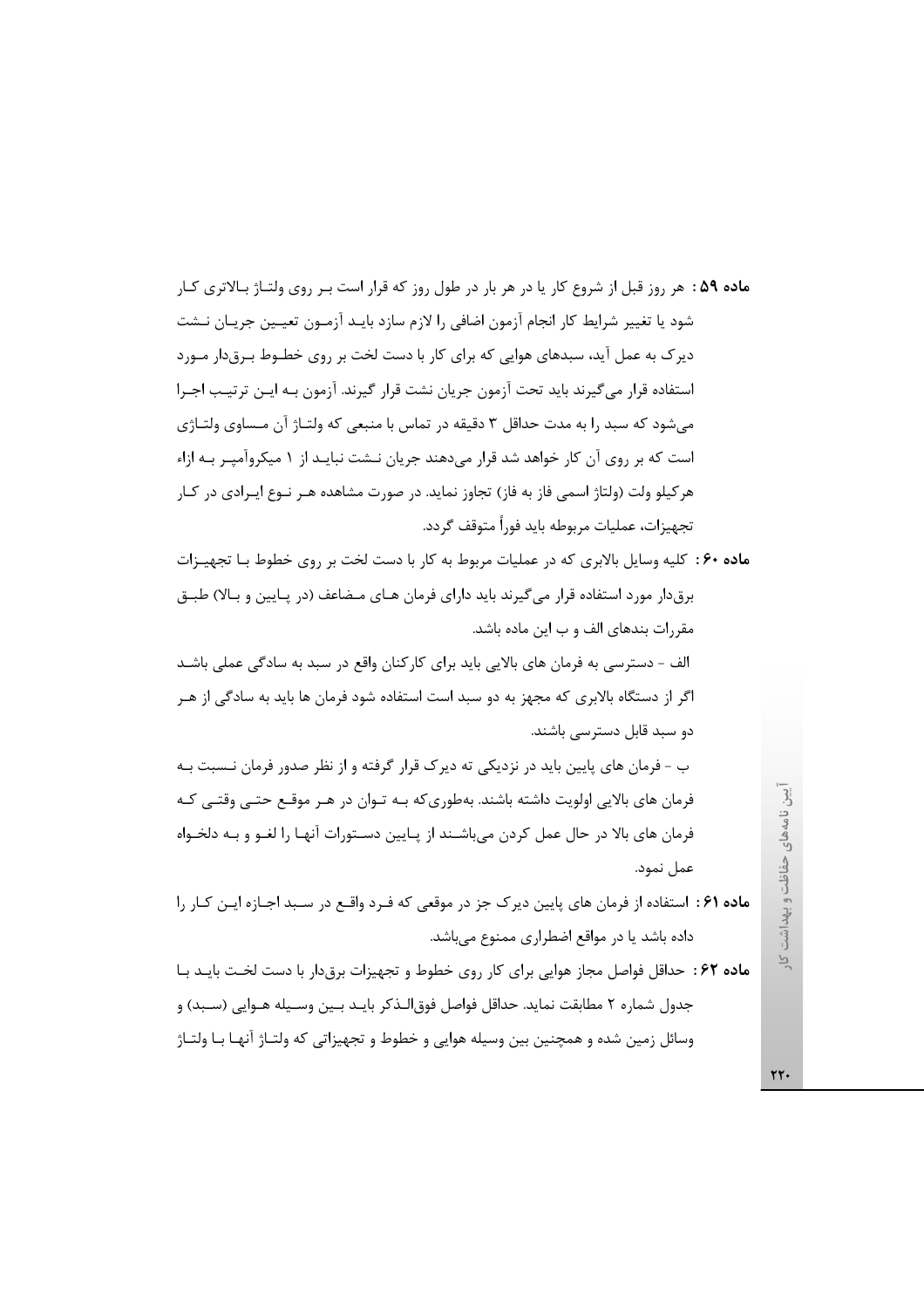ماده ۵۹: هر روز قبل از شروع کار یا در هر بار در طول روز که قرار است بـر روی ولتـاژ بـالاتری کـار شود یا تغییر شرایط کار انجام آزمون اضافی را لازم سازد بایـد آزمـون تعیـین جریـان نــشت دیرک به عمل آید، سبدهای هوایی که برای کار با دست لخت بر روی خطـوط بـرقدار مـورد استفاده قرار میگیرند باید تحت آزمون جریان نشت قرار گیرند. آزمون بـه ایـن ترتیـب اجـرا میشود که سبد را به مدت حداقل ۳ دقیقه در تماس با منبعی که ولتـاژ آن مـساوی ولتـاژی است که بر روی آن کار خواهد شد قرار میدهند جریان نـشت نبایـد از ۱ میکروآمپـر بـه ازاء هر کیلو ولت (ولتاژ اسمی فاز به فاز) تجاوز نماید. در صورت مشاهده هـر نــوع ایــرادی در کــار تجهيزات، عمليات مربوطه بايد فوراً متوقف گردد.

ماده ۶۰: کلیه وسایل بالابری که در عملیات مربوط به کار با دست لخت بر روی خطوط بـا تجهیـزات برقدار مورد استفاده قرار می گیرند باید دارای فرمان هـای مـضاعف (در پـایین و بـالا) طبـق مقررات بندهای الف و ب این ماده باشد.

الف – دسترسی به فرمان های بالایی باید برای کارکنان واقع در سبد به سادگی عملی باشـد اگر از دستگاه بالابری که مجهز به دو سبد است استفاده شود فرمان ها باید به سادگی از هـر دو سبد قابل دسترسے باشند.

ب – فرمان های پایین باید در نزدیکی ته دیرک قرار گرفته و از نظر صدور فرمان نـسبت بـه فرمان های بالایی اولویت داشته باشند. بهطوری که بـه تـوان در هـر موقـع حتـی وقتـی کـه فرمان های بالا در حال عمل کردن میباشـند از پـایین دسـتورات آنهـا را لغــو و بــه دلخـواه عمل نمود.

- ماده ۶۱ : استفاده از فرمان های پایین دیرک جز در موقعی که فـرد واقـع در سـبد اجـازه ایـن کـار را داده باشد یا در مواقع اضطراری ممنوع میباشد.
- ماده ۶۲: حداقل فواصل مجاز هوایی برای کار روی خطوط و تجهیزات برق دار با دست لخت بایـد بـا جدول شماره ۲ مطابقت نماید. حداقل فواصل فوق|لـذکر بایـد بـین وسـیله هـوایی (سـبد) و وسائل زمین شده و همچنین بین وسیله هوایی و خطوط و تجهیزاتی که ولتـاژ آنهـا بـا ولتـاژ

یین نامههای حفاظت و بهداشت کار

٢٢.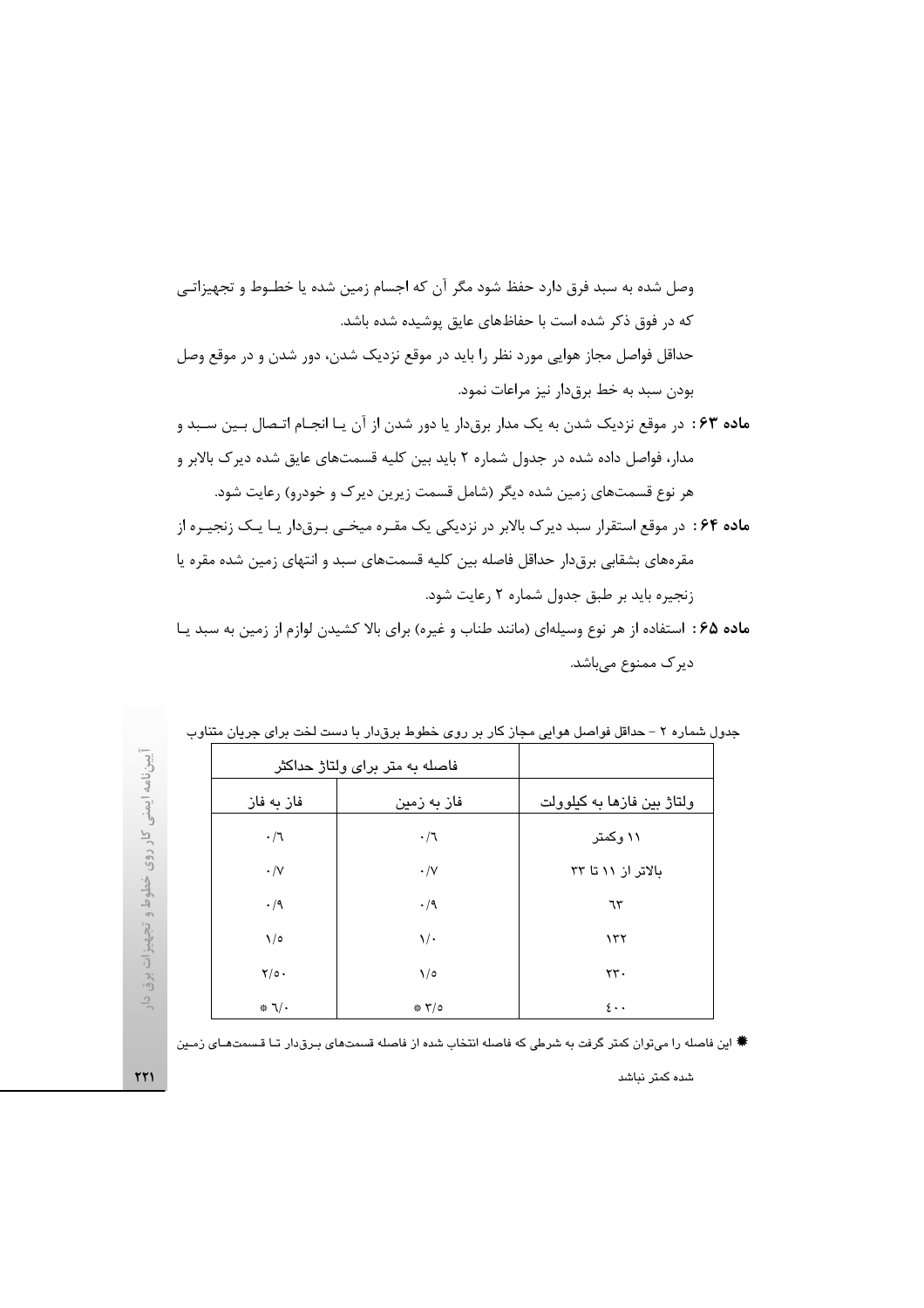ماده ۶۵: استفاده از هر نوع وسیلهای (مانند طناب و غیره) برای بالا کشیدن لوازم از زمین به سبد یـا دیرک ممنوع میباشد.

|                 |                                | ل سمارہ ۱ – حداقل نواصل ہوایی مجاز خار پر روی حصوصے پروٹار یا دست بحث پرای چرپان منتاوب |
|-----------------|--------------------------------|-----------------------------------------------------------------------------------------|
|                 | فاصله به متر برای ولتاژ حداکثر |                                                                                         |
| فاز به فاز      | فاز به زمین                    | ولتاژ بین فازها به کیلوولت                                                              |
| $\cdot/7$       | $\cdot/7$                      | ۱۱ وکمتر                                                                                |
| $\cdot/\vee$    | $\cdot/\vee$                   | بالاتر از ۱۱ تا ۳۳                                                                      |
| $\cdot/9$       | $\cdot/9$                      | ٦٣                                                                                      |
| $\sqrt{2}$      | $\sqrt{\cdot}$                 | $\lambda$                                                                               |
| $Y/\circ$ .     | $\sqrt{2}$                     | $\tau\tau$ .                                                                            |
| $* \mathcal{N}$ | $*7$                           | $\mathfrak{c}$                                                                          |

| جدول شماره ۲ – حداقل فواصل هوایی مجاز کار بر روی خطوط برقدار با دست لخت برای جریان متناو، |  |  |  |  |  |  |
|-------------------------------------------------------------------------------------------|--|--|--|--|--|--|
|-------------------------------------------------------------------------------------------|--|--|--|--|--|--|

☀ این فاصله را میتوان کمتر گرفت به شرطی که فاصله انتخاب شده از فاصله قسمتهای بـرق‹دار تـا قـسمتهـای زمـین

شده کمتر نباشد

 $\tau\tau$